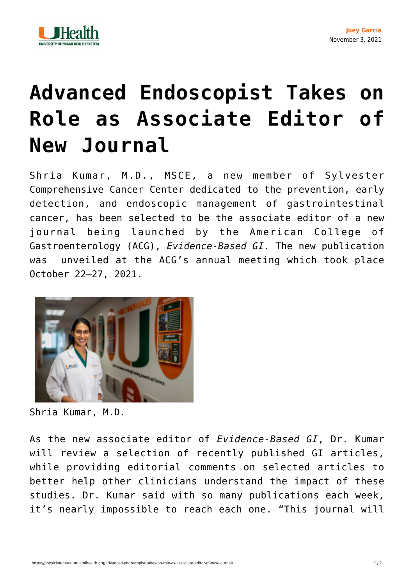

## **[Advanced Endoscopist Takes on](https://physician-news.umiamihealth.org/advanced-endoscopist-takes-on-role-as-associate-editor-of-new-journal/) [Role as Associate Editor of](https://physician-news.umiamihealth.org/advanced-endoscopist-takes-on-role-as-associate-editor-of-new-journal/) [New Journal](https://physician-news.umiamihealth.org/advanced-endoscopist-takes-on-role-as-associate-editor-of-new-journal/)**

Shria Kumar, M.D., MSCE, a new member of Sylvester Comprehensive Cancer Center dedicated to the prevention, early detection, and endoscopic management of gastrointestinal cancer, has been selected to be the associate editor of a new journal being launched by the American College of Gastroenterology (ACG), *Evidence-Based GI*. The new publication was unveiled at the ACG's annual meeting which took place October 22–27, 2021.



Shria Kumar, M.D.

As the new associate editor of *Evidence-Based GI*, Dr. Kumar will review a selection of recently published GI articles, while providing editorial comments on selected articles to better help other clinicians understand the impact of these studies. Dr. Kumar said with so many publications each week, it's nearly impossible to reach each one. "This journal will